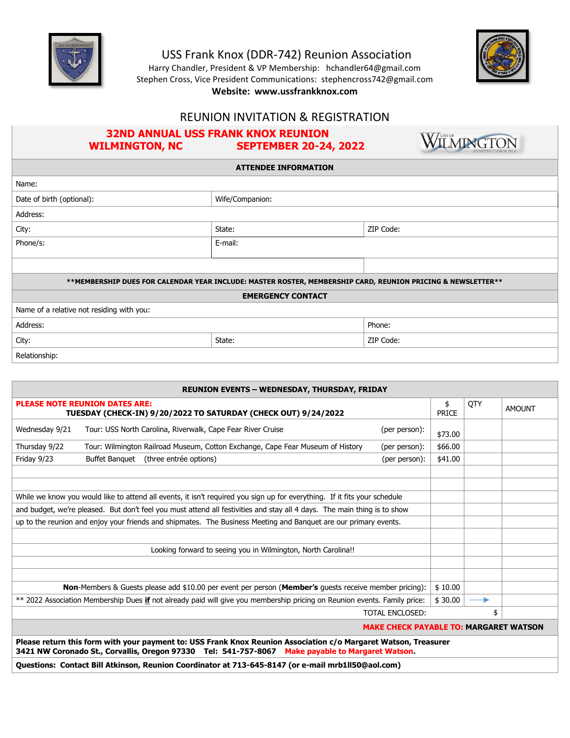

Relationship:

USS Frank Knox (DDR-742) Reunion Association

Harry Chandler, President & VP Membership: hchandler64@gmail.com Stephen Cross, Vice President Communications: stephencross742@gmail.com **Website: www.ussfrankknox.com**



### REUNION INVITATION & REGISTRATION

## **32ND ANNUAL USS FRANK KNOX REUNION WILMINGTON, NC SEPTEMBER 20-24, 2022**



**ATTENDEE INFORMATION**

| Name:                                                                                                       |                 |           |  |  |  |
|-------------------------------------------------------------------------------------------------------------|-----------------|-----------|--|--|--|
| Date of birth (optional):                                                                                   | Wife/Companion: |           |  |  |  |
| Address:                                                                                                    |                 |           |  |  |  |
| City:                                                                                                       | State:          | ZIP Code: |  |  |  |
| Phone/s:                                                                                                    | E-mail:         |           |  |  |  |
|                                                                                                             |                 |           |  |  |  |
|                                                                                                             |                 |           |  |  |  |
| **MEMBERSHIP DUES FOR CALENDAR YEAR INCLUDE: MASTER ROSTER, MEMBERSHIP CARD, REUNION PRICING & NEWSLETTER** |                 |           |  |  |  |
| <b>EMERGENCY CONTACT</b>                                                                                    |                 |           |  |  |  |
| Name of a relative not residing with you:                                                                   |                 |           |  |  |  |
| Address:                                                                                                    |                 | Phone:    |  |  |  |
| City:                                                                                                       | State:          | ZIP Code: |  |  |  |

| <b>REUNION EVENTS - WEDNESDAY, THURSDAY, FRIDAY</b>                                                                       |                                                                                |                                               |                    |     |               |
|---------------------------------------------------------------------------------------------------------------------------|--------------------------------------------------------------------------------|-----------------------------------------------|--------------------|-----|---------------|
| <b>PLEASE NOTE REUNION DATES ARE:</b><br>TUESDAY (CHECK-IN) 9/20/2022 TO SATURDAY (CHECK OUT) 9/24/2022                   |                                                                                |                                               | \$<br><b>PRICE</b> | QTY | <b>AMOUNT</b> |
| Wednesday 9/21                                                                                                            | Tour: USS North Carolina, Riverwalk, Cape Fear River Cruise                    | (per person):                                 | \$73.00            |     |               |
| Thursday 9/22                                                                                                             | Tour: Wilmington Railroad Museum, Cotton Exchange, Cape Fear Museum of History | (per person):                                 | \$66.00            |     |               |
| Friday 9/23                                                                                                               | (three entrée options)<br><b>Buffet Banquet</b>                                | (per person):                                 | \$41.00            |     |               |
|                                                                                                                           |                                                                                |                                               |                    |     |               |
|                                                                                                                           |                                                                                |                                               |                    |     |               |
| While we know you would like to attend all events, it isn't required you sign up for everything. If it fits your schedule |                                                                                |                                               |                    |     |               |
| and budget, we're pleased. But don't feel you must attend all festivities and stay all 4 days. The main thing is to show  |                                                                                |                                               |                    |     |               |
| up to the reunion and enjoy your friends and shipmates. The Business Meeting and Banquet are our primary events.          |                                                                                |                                               |                    |     |               |
|                                                                                                                           |                                                                                |                                               |                    |     |               |
| Looking forward to seeing you in Wilmington, North Carolina!!                                                             |                                                                                |                                               |                    |     |               |
|                                                                                                                           |                                                                                |                                               |                    |     |               |
|                                                                                                                           |                                                                                |                                               |                    |     |               |
| <b>Non-Members &amp; Guests please add \$10.00 per event per person (Member's quests receive member pricing):</b>         |                                                                                | \$10.00                                       |                    |     |               |
| ** 2022 Association Membership Dues if not already paid will give you membership pricing on Reunion events. Family price: |                                                                                | \$30.00                                       | ▶                  |     |               |
|                                                                                                                           |                                                                                | <b>TOTAL ENCLOSED:</b>                        |                    | \$  |               |
|                                                                                                                           |                                                                                | <b>MAKE CHECK PAYABLE TO: MARGARET WATSON</b> |                    |     |               |

**Please return this form with your payment to: USS Frank Knox Reunion Association c/o Margaret Watson, Treasurer 3421 NW Coronado St., Corvallis, Oregon 97330 Tel: 541-757-8067 Make payable to Margaret Watson.**

**Questions: Contact Bill Atkinson, Reunion Coordinator at 713-645-8147 (or e-mail mrb1ll50@aol.com)**